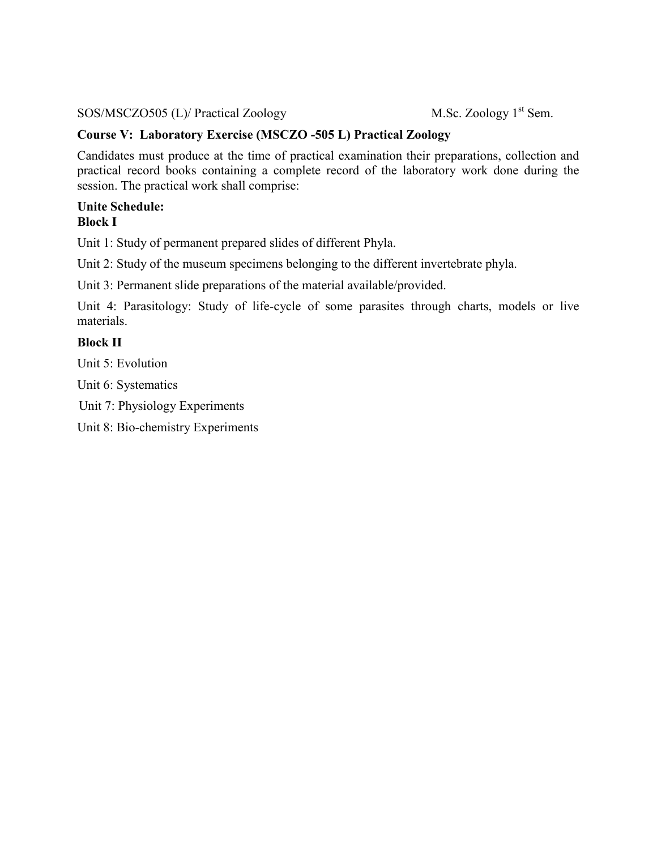SOS/MSCZO505 (L)/ Practical Zoology M.Sc. Zoology 1<sup>st</sup> Sem.

# **Course V: Laboratory Exercise (MSCZO -505 L) Practical Zoology**

Candidates must produce at the time of practical examination their preparations, collection and practical record books containing a complete record of the laboratory work done during the session. The practical work shall comprise:

#### **Unite Schedule: Block I**

Unit 1: Study of permanent prepared slides of different Phyla.

Unit 2: Study of the museum specimens belonging to the different invertebrate phyla.

Unit 3: Permanent slide preparations of the material available/provided.

Unit 4: Parasitology: Study of life-cycle of some parasites through charts, models or live materials.

### **Block II**

Unit 5: Evolution

Unit 6: Systematics

Unit 7: Physiology Experiments

Unit 8: Bio-chemistry Experiments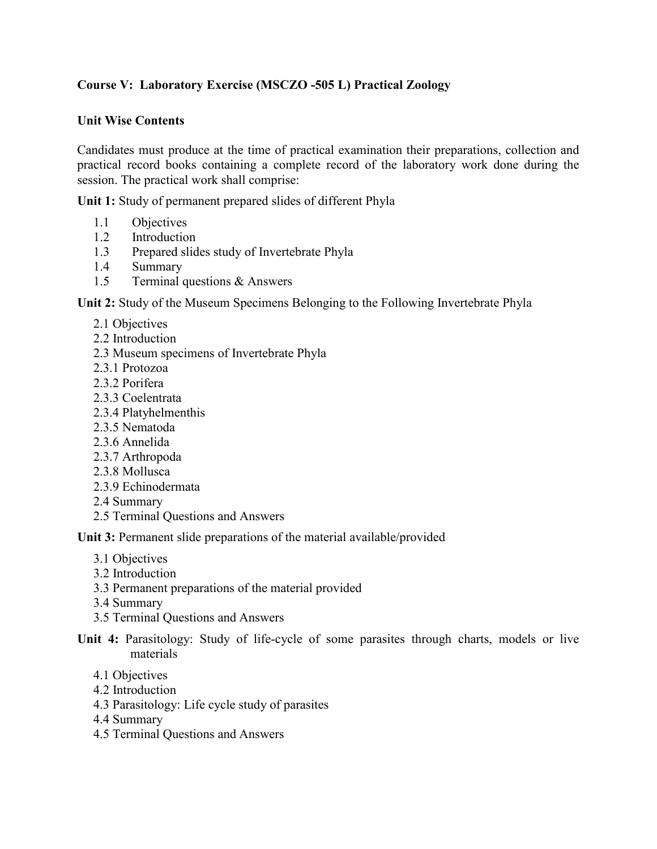## **Course V: Laboratory Exercise (MSCZO -505 L) Practical Zoology**

#### **Unit Wise Contents**

Candidates must produce at the time of practical examination their preparations, collection and practical record books containing a complete record of the laboratory work done during the session. The practical work shall comprise:

**Unit 1:** Study of permanent prepared slides of different Phyla

- 1.1 Objectives
- 1.2 Introduction
- 1.3 Prepared slides study of Invertebrate Phyla
- 1.4 Summary
- 1.5 Terminal questions & Answers

**Unit 2:** Study of the Museum Specimens Belonging to the Following Invertebrate Phyla

- 2.1 Objectives
- 2.2 Introduction
- 2.3 Museum specimens of Invertebrate Phyla
- 2.3.1 Protozoa
- 2.3.2 Porifera
- 2.3.3 Coelentrata
- 2.3.4 Platyhelmenthis
- 2.3.5 Nematoda
- 2.3.6 Annelida
- 2.3.7 Arthropoda
- 2.3.8 Mollusca
- 2.3.9 Echinodermata
- 2.4 Summary
- 2.5 Terminal Questions and Answers

**Unit 3:** Permanent slide preparations of the material available/provided

- 3.1 Objectives
- 3.2 Introduction
- 3.3 Permanent preparations of the material provided
- 3.4 Summary
- 3.5 Terminal Questions and Answers
- **Unit 4:** Parasitology: Study of life-cycle of some parasites through charts, models or live materials
	- 4.1 Objectives
	- 4.2 Introduction
	- 4.3 Parasitology: Life cycle study of parasites
	- 4.4 Summary
	- 4.5 Terminal Questions and Answers